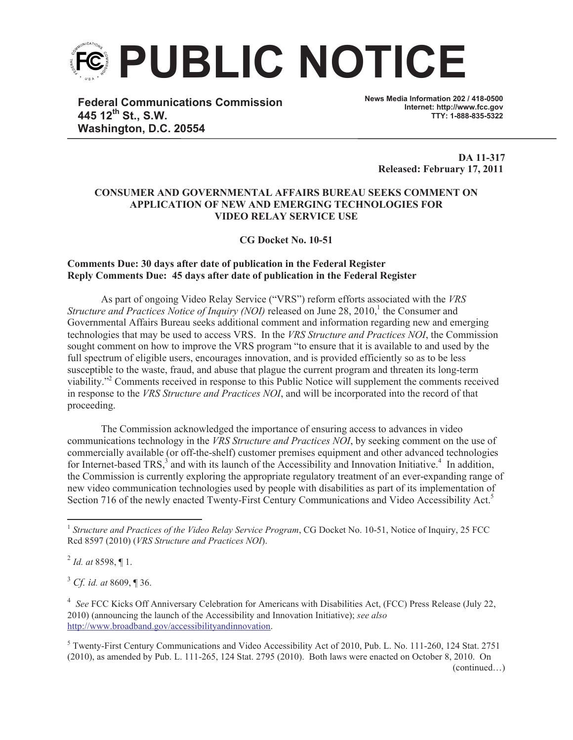

**Federal Communications Commission 445 12th St., S.W. Washington, D.C. 20554**

**News Media Information 202 / 418-0500 Internet: http://www.fcc.gov TTY: 1-888-835-5322**

**DA 11-317 Released: February 17, 2011**

## **CONSUMER AND GOVERNMENTAL AFFAIRS BUREAU SEEKS COMMENT ON APPLICATION OF NEW AND EMERGING TECHNOLOGIES FOR VIDEO RELAY SERVICE USE**

**CG Docket No. 10-51**

## **Comments Due: 30 days after date of publication in the Federal Register Reply Comments Due: 45 days after date of publication in the Federal Register**

As part of ongoing Video Relay Service ("VRS") reform efforts associated with the *VRS*  Structure and Practices Notice of Inquiry (NOI) released on June 28, 2010,<sup>1</sup> the Consumer and Governmental Affairs Bureau seeks additional comment and information regarding new and emerging technologies that may be used to access VRS. In the *VRS Structure and Practices NOI*, the Commission sought comment on how to improve the VRS program "to ensure that it is available to and used by the full spectrum of eligible users, encourages innovation, and is provided efficiently so as to be less susceptible to the waste, fraud, and abuse that plague the current program and threaten its long-term viability."<sup>2</sup> Comments received in response to this Public Notice will supplement the comments received in response to the *VRS Structure and Practices NOI*, and will be incorporated into the record of that proceeding.

The Commission acknowledged the importance of ensuring access to advances in video communications technology in the *VRS Structure and Practices NOI*, by seeking comment on the use of commercially available (or off-the-shelf) customer premises equipment and other advanced technologies for Internet-based TRS,<sup>3</sup> and with its launch of the Accessibility and Innovation Initiative.<sup>4</sup> In addition, the Commission is currently exploring the appropriate regulatory treatment of an ever-expanding range of new video communication technologies used by people with disabilities as part of its implementation of Section 716 of the newly enacted Twenty-First Century Communications and Video Accessibility Act.<sup>5</sup>

2 *Id. at* 8598, ¶ 1.

<sup>3</sup> *Cf. id. at* 8609, ¶ 36.

4 *See* FCC Kicks Off Anniversary Celebration for Americans with Disabilities Act, (FCC) Press Release (July 22, 2010) (announcing the launch of the Accessibility and Innovation Initiative); *see also* http://www.broadband.gov/accessibilityandinnovation.

<sup>5</sup> Twenty-First Century Communications and Video Accessibility Act of 2010, Pub. L. No. 111-260, 124 Stat. 2751 (2010), as amended by Pub. L. 111-265, 124 Stat. 2795 (2010). Both laws were enacted on October 8, 2010. On

<sup>&</sup>lt;sup>1</sup> Structure and Practices of the Video Relay Service Program, CG Docket No. 10-51, Notice of Inquiry, 25 FCC Rcd 8597 (2010) (*VRS Structure and Practices NOI*).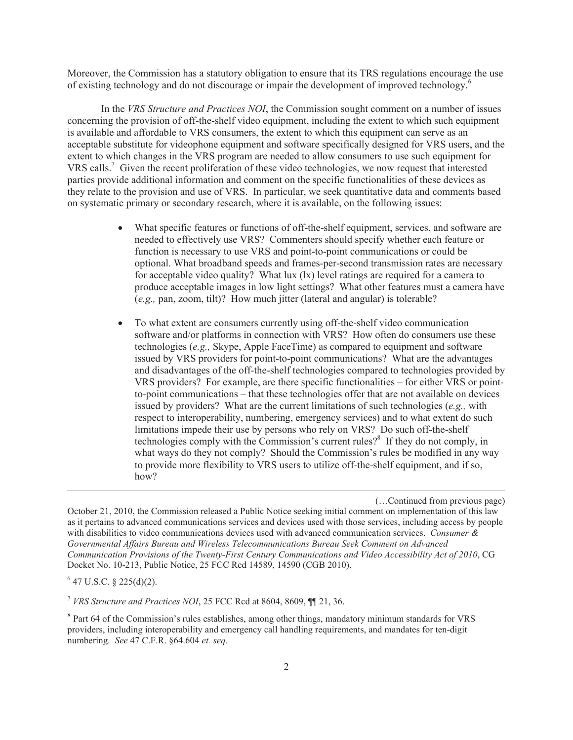Moreover, the Commission has a statutory obligation to ensure that its TRS regulations encourage the use of existing technology and do not discourage or impair the development of improved technology.<sup>6</sup>

In the *VRS Structure and Practices NOI*, the Commission sought comment on a number of issues concerning the provision of off-the-shelf video equipment, including the extent to which such equipment is available and affordable to VRS consumers, the extent to which this equipment can serve as an acceptable substitute for videophone equipment and software specifically designed for VRS users, and the extent to which changes in the VRS program are needed to allow consumers to use such equipment for VRS calls.<sup>7</sup> Given the recent proliferation of these video technologies, we now request that interested parties provide additional information and comment on the specific functionalities of these devices as they relate to the provision and use of VRS. In particular, we seek quantitative data and comments based on systematic primary or secondary research, where it is available, on the following issues:

- What specific features or functions of off-the-shelf equipment, services, and software are needed to effectively use VRS? Commenters should specify whether each feature or function is necessary to use VRS and point-to-point communications or could be optional. What broadband speeds and frames-per-second transmission rates are necessary for acceptable video quality? What lux (lx) level ratings are required for a camera to produce acceptable images in low light settings? What other features must a camera have (*e.g.,* pan, zoom, tilt)? How much jitter (lateral and angular) is tolerable?
- · To what extent are consumers currently using off-the-shelf video communication software and/or platforms in connection with VRS? How often do consumers use these technologies (*e.g.,* Skype, Apple FaceTime) as compared to equipment and software issued by VRS providers for point-to-point communications? What are the advantages and disadvantages of the off-the-shelf technologies compared to technologies provided by VRS providers? For example, are there specific functionalities – for either VRS or pointto-point communications – that these technologies offer that are not available on devices issued by providers? What are the current limitations of such technologies (*e.g.,* with respect to interoperability, numbering, emergency services) and to what extent do such limitations impede their use by persons who rely on VRS? Do such off-the-shelf technologies comply with the Commission's current rules? $8<sup>8</sup>$  If they do not comply, in what ways do they not comply? Should the Commission's rules be modified in any way to provide more flexibility to VRS users to utilize off-the-shelf equipment, and if so, how?

(…Continued from previous page)

October 21, 2010, the Commission released a Public Notice seeking initial comment on implementation of this law as it pertains to advanced communications services and devices used with those services, including access by people with disabilities to video communications devices used with advanced communication services. *Consumer & Governmental Affairs Bureau and Wireless Telecommunications Bureau Seek Comment on Advanced Communication Provisions of the Twenty-First Century Communications and Video Accessibility Act of 2010*, CG Docket No. 10-213, Public Notice, 25 FCC Rcd 14589, 14590 (CGB 2010).

 $6$  47 U.S.C. § 225(d)(2).

<sup>7</sup> *VRS Structure and Practices NOI*, 25 FCC Rcd at 8604, 8609, ¶¶ 21, 36.

<sup>&</sup>lt;sup>8</sup> Part 64 of the Commission's rules establishes, among other things, mandatory minimum standards for VRS providers, including interoperability and emergency call handling requirements, and mandates for ten-digit numbering. *See* 47 C.F.R. §64.604 *et. seq.*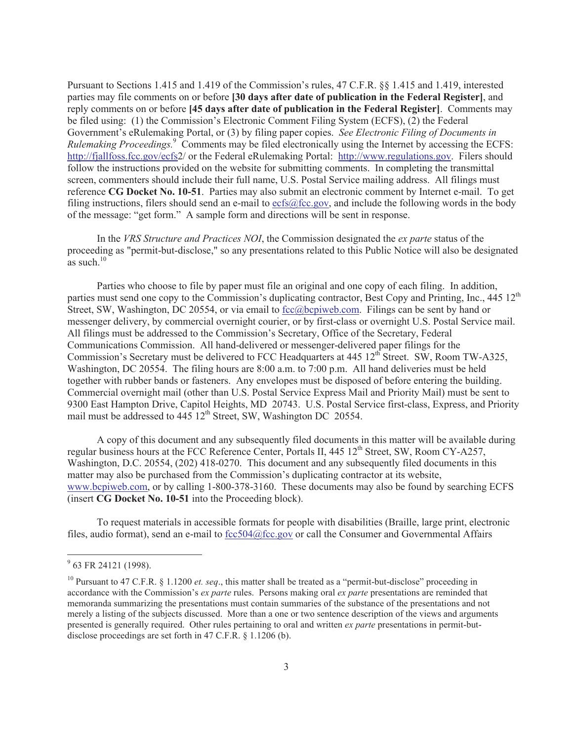Pursuant to Sections 1.415 and 1.419 of the Commission's rules, 47 C.F.R. §§ 1.415 and 1.419, interested parties may file comments on or before **[30 days after date of publication in the Federal Register]**, and reply comments on or before **[45 days after date of publication in the Federal Register]**. Comments may be filed using: (1) the Commission's Electronic Comment Filing System (ECFS), (2) the Federal Government's eRulemaking Portal, or (3) by filing paper copies. *See Electronic Filing of Documents in Rulemaking Proceedings.*<sup>9</sup> Comments may be filed electronically using the Internet by accessing the ECFS: http://fjallfoss.fcc.gov/ecfs2/ or the Federal eRulemaking Portal: http://www.regulations.gov. Filers should follow the instructions provided on the website for submitting comments. In completing the transmittal screen, commenters should include their full name, U.S. Postal Service mailing address. All filings must reference **CG Docket No. 10-51**. Parties may also submit an electronic comment by Internet e-mail. To get filing instructions, filers should send an e-mail to ecfs@fcc.gov, and include the following words in the body of the message: "get form." A sample form and directions will be sent in response.

In the *VRS Structure and Practices NOI*, the Commission designated the *ex parte* status of the proceeding as "permit-but-disclose," so any presentations related to this Public Notice will also be designated as such. $10$ 

Parties who choose to file by paper must file an original and one copy of each filing. In addition, parties must send one copy to the Commission's duplicating contractor, Best Copy and Printing, Inc.,  $445 \times 12^{th}$ Street, SW, Washington, DC 20554, or via email to fcc@bcpiweb.com. Filings can be sent by hand or messenger delivery, by commercial overnight courier, or by first-class or overnight U.S. Postal Service mail. All filings must be addressed to the Commission's Secretary, Office of the Secretary, Federal Communications Commission. All hand-delivered or messenger-delivered paper filings for the Commission's Secretary must be delivered to FCC Headquarters at 445 12<sup>th</sup> Street. SW, Room TW-A325, Washington, DC 20554. The filing hours are 8:00 a.m. to 7:00 p.m. All hand deliveries must be held together with rubber bands or fasteners. Any envelopes must be disposed of before entering the building. Commercial overnight mail (other than U.S. Postal Service Express Mail and Priority Mail) must be sent to 9300 East Hampton Drive, Capitol Heights, MD 20743. U.S. Postal Service first-class, Express, and Priority mail must be addressed to 445  $12<sup>th</sup>$  Street, SW, Washington DC 20554.

A copy of this document and any subsequently filed documents in this matter will be available during regular business hours at the FCC Reference Center, Portals II, 445 12<sup>th</sup> Street, SW, Room CY-A257, Washington, D.C. 20554, (202) 418-0270. This document and any subsequently filed documents in this matter may also be purchased from the Commission's duplicating contractor at its website, www.bcpiweb.com, or by calling 1-800-378-3160. These documents may also be found by searching ECFS (insert **CG Docket No. 10-51** into the Proceeding block).

To request materials in accessible formats for people with disabilities (Braille, large print, electronic files, audio format), send an e-mail to fcc504@fcc.gov or call the Consumer and Governmental Affairs

<sup>&</sup>lt;sup>9</sup> 63 FR 24121 (1998).

<sup>10</sup> Pursuant to 47 C.F.R. § 1.1200 *et. seq*., this matter shall be treated as a "permit-but-disclose" proceeding in accordance with the Commission's *ex parte* rules. Persons making oral *ex parte* presentations are reminded that memoranda summarizing the presentations must contain summaries of the substance of the presentations and not merely a listing of the subjects discussed. More than a one or two sentence description of the views and arguments presented is generally required. Other rules pertaining to oral and written *ex parte* presentations in permit-butdisclose proceedings are set forth in 47 C.F.R. § 1.1206 (b).